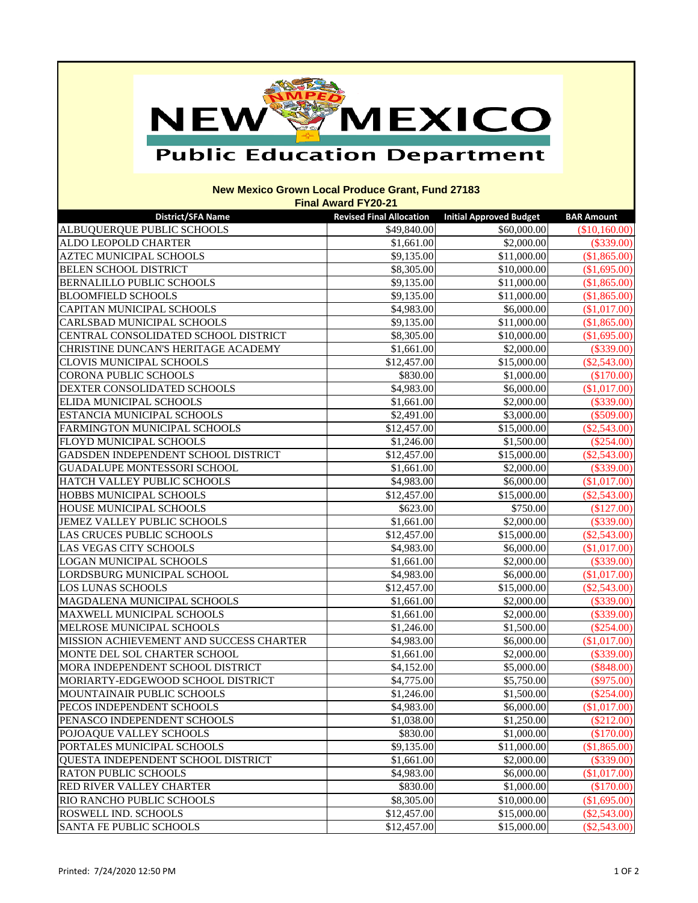## MEXICO NEW

## **Public Education Department**

## **New Mexico Grown Local Produce Grant, Fund 27183 Final Award FY20-21**

| <b>District/SFA Name</b>                | <b>Revised Final Allocation</b> | <b>Initial Approved Budget</b> | <b>BAR Amount</b> |
|-----------------------------------------|---------------------------------|--------------------------------|-------------------|
| ALBUQUERQUE PUBLIC SCHOOLS              | \$49,840.00                     | \$60,000.00                    | (\$10,160.00)     |
| ALDO LEOPOLD CHARTER                    | \$1,661.00                      | \$2,000.00                     | $(\$339.00)$      |
| <b>AZTEC MUNICIPAL SCHOOLS</b>          | \$9,135.00                      | \$11,000.00                    | (\$1,865.00)      |
| <b>BELEN SCHOOL DISTRICT</b>            | \$8,305.00                      | \$10,000.00                    | (\$1,695.00)      |
| <b>BERNALILLO PUBLIC SCHOOLS</b>        | \$9,135.00                      | \$11,000.00                    | (\$1,865.00)      |
| <b>BLOOMFIELD SCHOOLS</b>               | \$9,135.00                      | \$11,000.00                    | (\$1,865.00)      |
| <b>CAPITAN MUNICIPAL SCHOOLS</b>        | \$4,983.00                      | \$6,000.00                     | (\$1,017.00)      |
| <b>CARLSBAD MUNICIPAL SCHOOLS</b>       | \$9,135.00                      | \$11,000.00                    | (\$1,865.00)      |
| CENTRAL CONSOLIDATED SCHOOL DISTRICT    | \$8,305.00                      | \$10,000.00                    | (\$1,695.00)      |
| CHRISTINE DUNCAN'S HERITAGE ACADEMY     | \$1,661.00                      | \$2,000.00                     | $(\$339.00)$      |
| <b>CLOVIS MUNICIPAL SCHOOLS</b>         | \$12,457.00                     | \$15,000.00                    | $(\$2,543.00)$    |
| <b>CORONA PUBLIC SCHOOLS</b>            | \$830.00                        | \$1,000.00                     | (\$170.00)        |
| DEXTER CONSOLIDATED SCHOOLS             | \$4,983.00                      | \$6,000.00                     | (\$1,017.00)      |
| ELIDA MUNICIPAL SCHOOLS                 | \$1,661.00                      | \$2,000.00                     | $(\$339.00)$      |
| ESTANCIA MUNICIPAL SCHOOLS              | \$2,491.00                      | \$3,000.00                     | $(\$509.00)$      |
| FARMINGTON MUNICIPAL SCHOOLS            | \$12,457.00                     | \$15,000.00                    | $(\$2,543.00)$    |
| FLOYD MUNICIPAL SCHOOLS                 | \$1,246.00                      | \$1,500.00                     | $(\$254.00)$      |
| GADSDEN INDEPENDENT SCHOOL DISTRICT     | \$12,457.00                     | \$15,000.00                    | $(\$2,543.00)$    |
| <b>GUADALUPE MONTESSORI SCHOOL</b>      | \$1,661.00                      | \$2,000.00                     | $(\$339.00)$      |
| HATCH VALLEY PUBLIC SCHOOLS             | \$4,983.00                      | \$6,000.00                     | (\$1,017.00)      |
| <b>HOBBS MUNICIPAL SCHOOLS</b>          | \$12,457.00                     | \$15,000.00                    | $(\$2,543.00)$    |
| HOUSE MUNICIPAL SCHOOLS                 | \$623.00                        | \$750.00                       | (\$127.00)        |
| JEMEZ VALLEY PUBLIC SCHOOLS             | \$1,661.00                      | \$2,000.00                     | $(\$339.00)$      |
| LAS CRUCES PUBLIC SCHOOLS               | \$12,457.00                     | \$15,000.00                    | $(\$2,543.00)$    |
| LAS VEGAS CITY SCHOOLS                  | \$4,983.00                      | \$6,000.00                     | (\$1,017.00)      |
| <b>LOGAN MUNICIPAL SCHOOLS</b>          | \$1,661.00                      | \$2,000.00                     | $(\$339.00)$      |
| LORDSBURG MUNICIPAL SCHOOL              | \$4,983.00                      | \$6,000.00                     | (\$1,017.00)      |
| <b>LOS LUNAS SCHOOLS</b>                | \$12,457.00                     | \$15,000.00                    | $(\$2,543.00)$    |
| MAGDALENA MUNICIPAL SCHOOLS             | \$1,661.00                      | \$2,000.00                     | $(\$339.00)$      |
| <b>MAXWELL MUNICIPAL SCHOOLS</b>        | \$1,661.00                      | \$2,000.00                     | $(\$339.00)$      |
| MELROSE MUNICIPAL SCHOOLS               | \$1,246.00                      | \$1,500.00                     | $(\$254.00)$      |
| MISSION ACHIEVEMENT AND SUCCESS CHARTER | \$4,983.00                      | \$6,000.00                     | (\$1,017.00)      |
| MONTE DEL SOL CHARTER SCHOOL            | \$1,661.00                      | \$2,000.00                     | (\$339.00)        |
| MORA INDEPENDENT SCHOOL DISTRICT        | \$4,152.00                      | \$5,000.00                     | (\$848.00)        |
| MORIARTY-EDGEWOOD SCHOOL DISTRICT       | \$4,775.00                      | \$5,750.00                     | $(\$975.00)$      |
| MOUNTAINAIR PUBLIC SCHOOLS              | \$1,246.00                      | \$1,500.00                     | $(\$254.00)$      |
| PECOS INDEPENDENT SCHOOLS               | \$4,983.00                      | \$6,000.00                     | (\$1,017.00)      |
| PENASCO INDEPENDENT SCHOOLS             | \$1,038.00                      | \$1,250.00                     | $(\$212.00)$      |
| POJOAQUE VALLEY SCHOOLS                 | \$830.00                        | \$1,000.00                     | (\$170.00)        |
| PORTALES MUNICIPAL SCHOOLS              | \$9,135.00                      | \$11,000.00                    | (\$1,865.00)      |
| QUESTA INDEPENDENT SCHOOL DISTRICT      | \$1,661.00                      | \$2,000.00                     | (\$339.00)        |
| <b>RATON PUBLIC SCHOOLS</b>             | \$4,983.00                      | \$6,000.00                     | (\$1,017.00)      |
| <b>RED RIVER VALLEY CHARTER</b>         | \$830.00                        | \$1,000.00                     | (\$170.00)        |
| RIO RANCHO PUBLIC SCHOOLS               | \$8,305.00                      | \$10,000.00                    | \$1,695.00        |
| ROSWELL IND. SCHOOLS                    | \$12,457.00                     | \$15,000.00                    | $(\$2,543.00)$    |
| <b>SANTA FE PUBLIC SCHOOLS</b>          | \$12,457.00                     | \$15,000.00                    | $(\$2,543.00)$    |